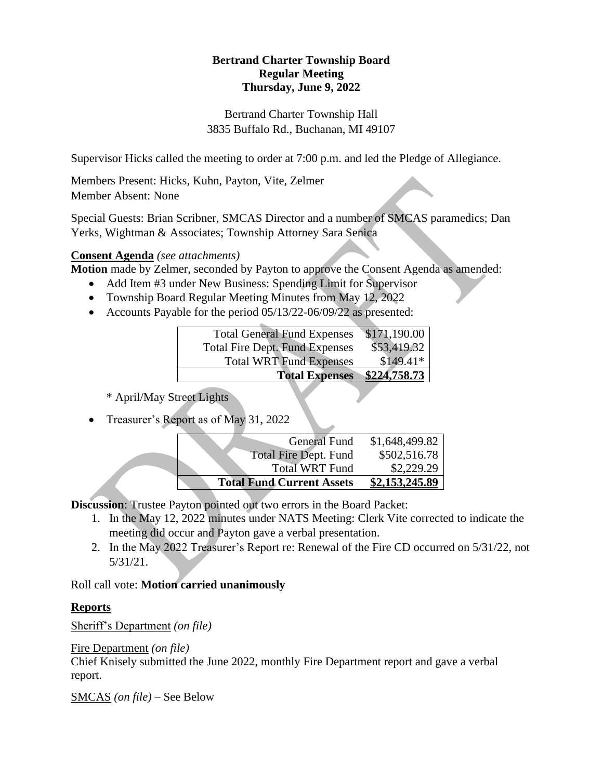# **Bertrand Charter Township Board Regular Meeting Thursday, June 9, 2022**

Bertrand Charter Township Hall 3835 Buffalo Rd., Buchanan, MI 49107

Supervisor Hicks called the meeting to order at 7:00 p.m. and led the Pledge of Allegiance.

Members Present: Hicks, Kuhn, Payton, Vite, Zelmer Member Absent: None

Special Guests: Brian Scribner, SMCAS Director and a number of SMCAS paramedics; Dan Yerks, Wightman & Associates; Township Attorney Sara Senica

# **Consent Agenda** *(see attachments)*

**Motion** made by Zelmer, seconded by Payton to approve the Consent Agenda as amended:

- Add Item #3 under New Business: Spending Limit for Supervisor
- Township Board Regular Meeting Minutes from May 12, 2022
- Accounts Payable for the period 05/13/22-06/09/22 as presented:

| <b>Total General Fund Expenses</b>    | \$171,190.00 |
|---------------------------------------|--------------|
| <b>Total Fire Dept. Fund Expenses</b> | \$53,419.32  |
| <b>Total WRT Fund Expenses</b>        | $$149.41*$   |
| <b>Total Expenses</b>                 | \$224,758.73 |

\* April/May Street Lights

• Treasurer's Report as of May 31, 2022

| <b>General Fund</b>              | \$1,648,499.82 |
|----------------------------------|----------------|
| <b>Total Fire Dept. Fund</b>     | \$502,516.78   |
| <b>Total WRT Fund</b>            | \$2,229.29     |
| <b>Total Fund Current Assets</b> | \$2,153,245.89 |

**Discussion**: Trustee Payton pointed out two errors in the Board Packet:

- 1. In the May 12, 2022 minutes under NATS Meeting: Clerk Vite corrected to indicate the meeting did occur and Payton gave a verbal presentation.
- 2. In the May 2022 Treasurer's Report re: Renewal of the Fire CD occurred on 5/31/22, not 5/31/21.

Roll call vote: **Motion carried unanimously**

# **Reports**

Sheriff's Department *(on file)*

Fire Department *(on file)*

Chief Knisely submitted the June 2022, monthly Fire Department report and gave a verbal report.

SMCAS *(on file) –* See Below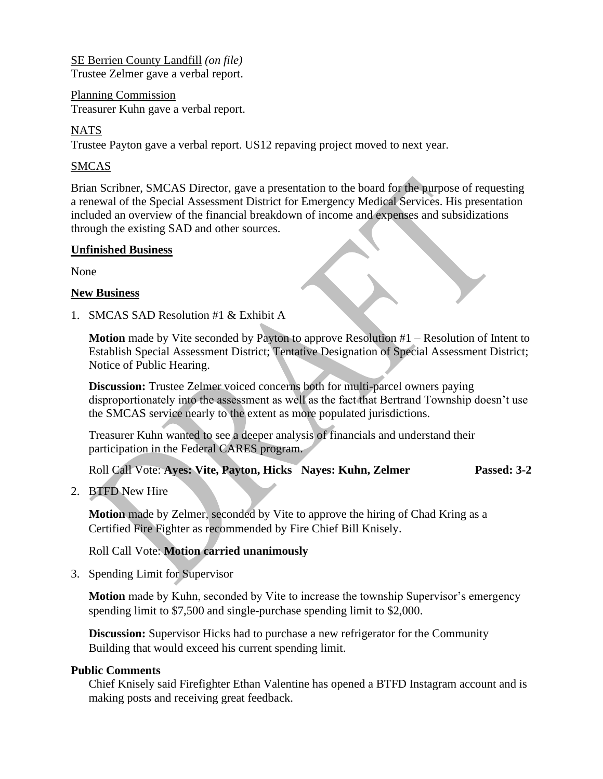SE Berrien County Landfill *(on file)* Trustee Zelmer gave a verbal report.

Planning Commission Treasurer Kuhn gave a verbal report.

## NATS

Trustee Payton gave a verbal report. US12 repaving project moved to next year.

## SMCAS

Brian Scribner, SMCAS Director, gave a presentation to the board for the purpose of requesting a renewal of the Special Assessment District for Emergency Medical Services. His presentation included an overview of the financial breakdown of income and expenses and subsidizations through the existing SAD and other sources.

#### **Unfinished Business**

None

#### **New Business**

1. SMCAS SAD Resolution #1 & Exhibit A

**Motion** made by Vite seconded by Payton to approve Resolution #1 – Resolution of Intent to Establish Special Assessment District; Tentative Designation of Special Assessment District; Notice of Public Hearing.

**Discussion:** Trustee Zelmer voiced concerns both for multi-parcel owners paying disproportionately into the assessment as well as the fact that Bertrand Township doesn't use the SMCAS service nearly to the extent as more populated jurisdictions.

Treasurer Kuhn wanted to see a deeper analysis of financials and understand their participation in the Federal CARES program.

Roll Call Vote: **Ayes: Vite, Payton, Hicks Nayes: Kuhn, Zelmer Passed: 3-2**

2. BTFD New Hire

**Motion** made by Zelmer, seconded by Vite to approve the hiring of Chad Kring as a Certified Fire Fighter as recommended by Fire Chief Bill Knisely.

### Roll Call Vote: **Motion carried unanimously**

3. Spending Limit for Supervisor

**Motion** made by Kuhn, seconded by Vite to increase the township Supervisor's emergency spending limit to \$7,500 and single-purchase spending limit to \$2,000.

**Discussion:** Supervisor Hicks had to purchase a new refrigerator for the Community Building that would exceed his current spending limit.

### **Public Comments**

Chief Knisely said Firefighter Ethan Valentine has opened a BTFD Instagram account and is making posts and receiving great feedback.